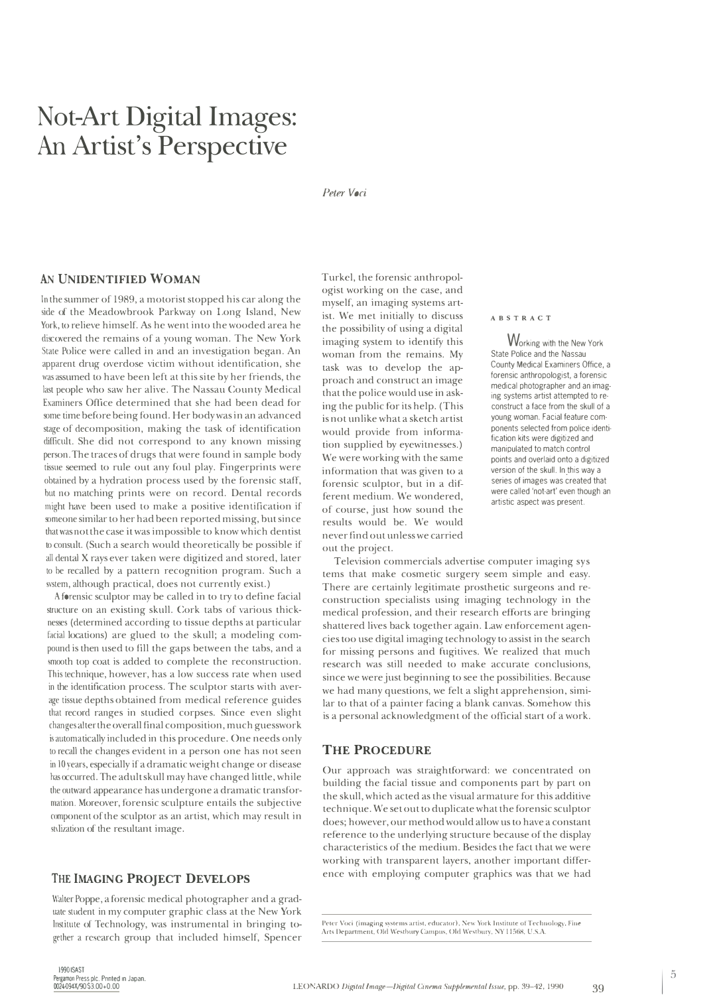# **Not-Art Digital Images: An Artist's Perspective**

*Peter Voci* 

## **AN UNIDENTIFIED WOMAN**

In the summer of 1989, a motorist stopped his car along the side of the Meadowbrook Parkway on Long Island, New York, to relieve himself. As he went into the wooded area he discovered the remains of a young woman. The New York State Police were called in and an investigation began. An apparent drug overdose victim without identification, she was assumed to have been left at this site by her friends, the last people who saw her alive. The Nassau County Medical Examiners Office determined that she had been dead for some time before being found. Her body was in an advanced stage of decomposition, making the task of identification difficult. She did not correspond to any known missing person. The traces of drugs that were found in sample body tissue seemed to rule out any foul play. Fingerprints were obtained by a hydration process used by the forensic staff, but no matching prints were on record. Dental records might have been used to make a positive identification if someone similar to her had been reported missing, but since that was not the case it was impossible to know which dentist to consult. (Such a search would theoretically be possible if all dental X rays ever taken were digitized and stored, later to be recalled by a pattern recognition program. Such a wstem, although practical, does not currently exist.)

A forensic sculptor may be called in to try to define facial structure on an existing skull. Cork tabs of various thicknesses (determined according to tissue depths at particular facial locations) are glued to the skull; a modeling compound is then used to fill the gaps between the tabs, and a smooth top coat is added to complete the reconstruction. This technique, however, has a low success rate when used in the identification process. The sculptor starts with average tissue depths obtained from medical reference guides that record ranges in studied corpses. Since even slight changes alter the overall final composition, much guesswork is automatically included in this procedure. One needs only to recall the changes evident in a person one has not seen in 10 years, especially if a dramatic weight change or disease has occurred. The adult skull may have changed little, while the outward appearance has undergone a dramatic transformation. Moreover, forensic sculpture entails the subjective component of the sculptor as an artist, which may result in stilization of the resultant image.

## **THE IMAGING PROJECT DEVELOPS**

Walter Poppe, a forensic medical photographer and a graduate student in my computer graphic class at the New York Institute of Technology, was instrumental in bringing together a research group that included himself, Spencer

Turkel, the forensic anthropologist working on the case, and myself, an imaging systems artist. We met initially to discuss the possibility of using a digital imaging system to identify this woman from the remains. My task was to develop the approach and construct an image that the police would use in asking the public for its help. (This is not unlike what a sketch artist would provide from information supplied by eyewitnesses.) We were working with the same information that was given to a forensic sculptor, but in a different medium. We wondered, of course, just how sound the results would be. We would never find out unless we carried out the project.

Television commercials advertise computer imaging systems that make cosmetic surgery seem simple and easy. There are certainly legitimate prosthetic surgeons and reconstruction specialists using imaging technology in the medical profession, and their research efforts are bringing shattered lives back together again. Law enforcement agencies too use digital imaging technology to assist in the search for missing persons and fugitives. We realized that much research was still needed to make accurate conclusions, since we were just beginning to see the possibilities. Because we had many questions, we felt a slight apprehens ion, simi-\_ lar to that of a painter facing a blank canvas. Somehow this is a personal acknowledgment of the official start of a work.

## **THE PROCEDURE**

Our approach was straightforward: we concentrated on building the facial tissue and components part by part on the skull, which acted as the visual armature for this additive technique. We set out to duplicate what the forensic sculptor does; however, our method would allow us to have a constant reference to the underlying structure because of the display characteristics of the medium. Besides the fact that we were working with transparent layers, another important difference with employing computer graphics was that we had

**Peter Voci (imaging systems artist, educator), New York Institute of Technology, Fine Arts Department, Old Westbmy Campus, Old Westbury, NY 11568, U.S.A.** 

#### ABSTRACT

Working with the New York State Police and the Nassau County Medical Examiners Office, a forensic anthropologist, a forensic medical photographer and an imaging systems artist attempted to reconstruct a face from the skull of a young woman. Facial feature components selected from police identification kits were digitized and manipulated to match control points and overlaid onto a digitized version of the skull. In this way a series of images was created that were called 'not-art' even though an artistic aspect was present.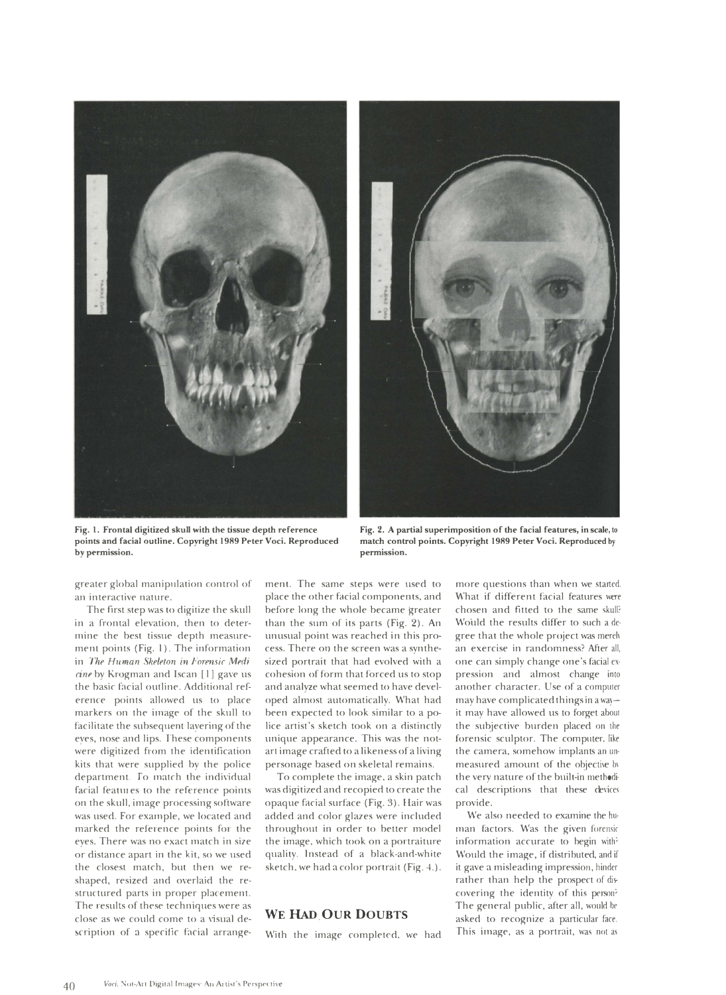

**Fig. I. Frontal digitized skull with the tissue depth reference points and facial outline. Copyright 1989 Peter Voci. Reproduced by permission.** 



**Fig. 2. A partial superimposition of the facial features, in scale, to match control points. Copyright 1989 Peter Voci. Reproduced by permission.** 

greater global manipulation control of an interactive nature.

The first step was to digitize the skull in a frontal elevation, then to determine the best tissue depth measurement points (Fig. 1). The information in *The Human Skeleton in Forensic Medi cine* by Krogman and Iscan [ l) gave us the basic facial outline. Additional reference points allowed us to place markers on the image of the skull to facilitate the subsequent layering of the eyes, nose and lips. These components were digitized f <sup>r</sup>om the identification kits that were supplied by the police department. To match the individual facial features to the reference points on the skull, image processing software was used. For example, we located and marked the reference points for the eyes. There was no exact match in size or distance apart in the kit, so we used the closest match, but then we reshaped, resized and overlaid the restructured parts in proper placement. The results of these techniques were as close as we could come to a visual description of a specific facial arrangement. The same steps were used to place the other facial components, and before long the whole became greater than the sum of its parts (Fig. 2). An unusual point was reached in this process. There on the screen was a synthesized portrait that had evolved with a cohesion of form that forced us to stop and analyze what seemed to have developed almost automatically. What had been expected to look similar to a police artist's sketch took on a distinctly unique appearance. This was the notart image crafted to a likeness of a living personage based on skeletal remains.

To complete the image, a skin patch was digitized and recopied to create the opaque facial surface (Fig. 3). Hair was added and color glazes were included throughout in order to better model the image, which took on a portraiture quality. Jnstead of a black-and-white sketch, we had a color portrait (Fig. 4.).

# **WE HAD. OUR DOUBTS**

With the image completed, we had

more questions than when we started. What if different facial features were chosen and fitted to the same skull? Would the results differ to such a degree that the whole project was mereh an exercise in randomness? After all, one can simply change one's facial expression and almost change into another character. Use of a computer may have complicated things in a wayit may have allowed us to forget about the subjective burden placed on the forensic sculptor. The computer, like the camera, somehow implants an unmeasured amount of the objective by the very nature of the built-in methodical descriptions that these devices provide.

We also needed to examine the human factors. Was the given forensic information accurate to begin with<sup>2</sup> Would the image, if distributed, and if it gave a misleading impression, hinder rather than help the prospect of discovering the identity of this person; The general public, after all, would be asked to recognize a particular face. This image, as a portrait, was not as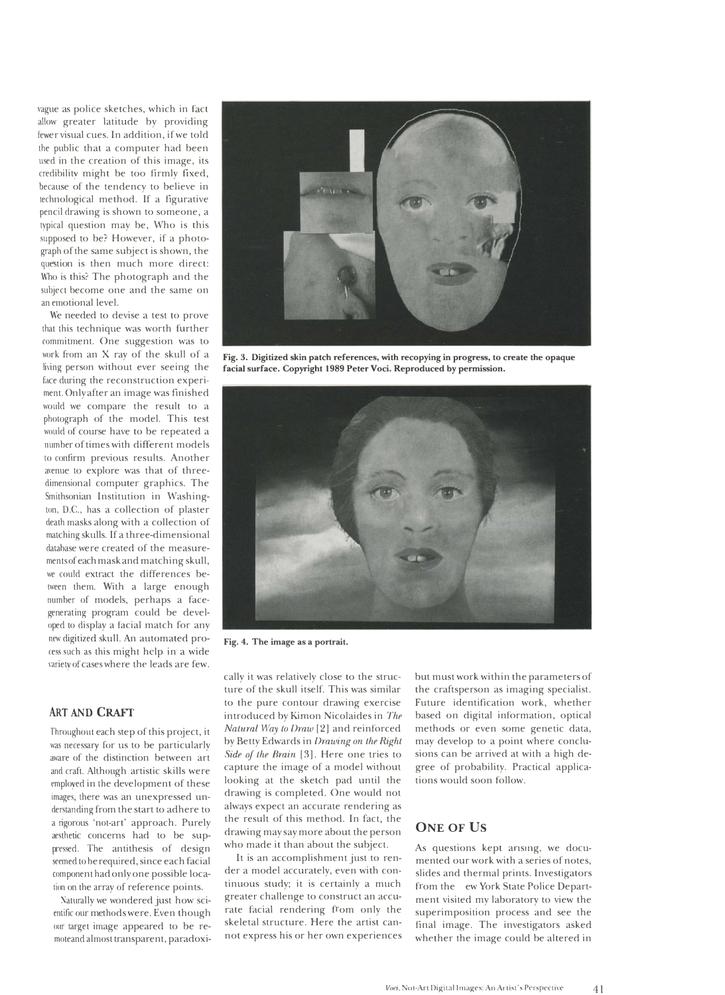vague as police sketches, which in fact allow greater latitude by providing fewer visual cues. In addition, if we told the public that a computer had been used in the creation of this image, its credibility might be too firmly fixed, because of the tendency to believe in technological method. If a figurative pencil drawing is shown to someone, a typical question may be, Who is this supposed to be? However, if a photograph of the same subject is shown, the question is then much more direct: Who is this? The photograph and the subject become one and the same on an emotional level.

We needed to devise a test to prove that this technique was worth further commitment. One suggestion was to work from an X ray of the skull of a living person without ever seeing the face during the reconstruction experiment. Only after an image was finished would we compare the result to a photograph of the model. This test would of course have to be repeated a number of times with different models to confirm previous results. Another avenue to explore was that of threedimensional computer graphics. The Smithsonian Institution in Washington, D.C., has a collection of plaster death masks along with a collection of matching skulls. If a three-dimensional database were created of the measurements of each mask and matching skull, we could extract the differences between them. With a large enough number of models, perhaps a facegenerating program could be developed to display a facial match for any new digitized skull. An automated pro- **Fig. 4. The image as a portrait.**  ress such as this might help in a wide variety of cases where the leads are few.

## **ART AND CRAFT**

Throughout each step of this project, it was necessary for us to be particularly aware of the distinction between art and craft. Although artistic skills were employed in the development of these images, there was an unexpressed understanding from the start to adhere to a rigorous 'not-art' approach. Purely aesthetic concerns had to be suppressed. The antithesis of design seemed to be required, since each facial component had only one possible location on the array of reference points.

Naturally we wondered just how scientific our methods were. Even though our target image appeared to be remoteand almost transparent, paradoxi-



**Fig. 3. Digitized skin patch references, with recopying in progress, to create the opaque facial surface. Copyright 1989 Peter Voci. Reproduced by permission.** 



cally it was relatively close to the structure of the skull itself. This was similar to the pure contour drawing exercise introduced by Kirnon Nicolaides in *The Natural Way to Draw* [2] and reinforced by Betty Edwards in *Drawing on the Right Side of the Brain* [3]. Here one tries to capture the image of a model without looking at the sketch pad until the drawing is completed. One would not always expect an accurate rendering as the result of this method. In fact, the drawing may say more about the person who made it than about the subject.

It is an accomplishment just to render a model accurately, even with continuous study; it is certainly a much greater challenge to construct an accurate facial rendering from only the skeletal structure. Here the artist cannot express his or her own experiences but must work within the parameters of the craftsperson as imaging specialist. Future identification work, whether based on digital information, optical methods or even some genetic data, may develop to a point where conclusions can be arrived at with a high degree of probability. Practical applications would soon follow.

## **ONE OF US**

As questions kept ansmg, we documented our work with a series of notes, slides and thermal prints. Investigators from the ew York State Police Department visited my laboratory to view the superimposition process and see the final image. The investigators asked whether the image could be altered in